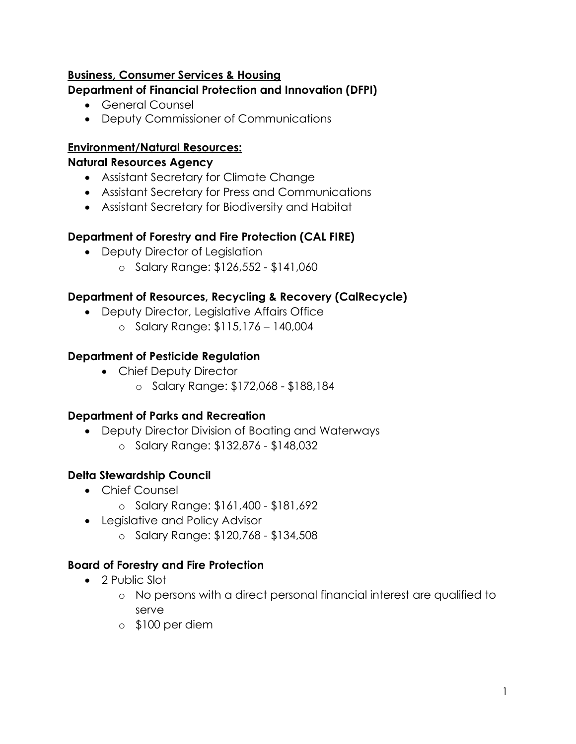## **Business, Consumer Services & Housing**

## **Department of Financial Protection and Innovation (DFPI)**

- General Counsel
- Deputy Commissioner of Communications

#### **Environment/Natural Resources:**

#### **Natural Resources Agency**

- Assistant Secretary for Climate Change
- Assistant Secretary for Press and Communications
- Assistant Secretary for Biodiversity and Habitat

### **Department of Forestry and Fire Protection (CAL FIRE)**

- Deputy Director of Legislation
	- o Salary Range: \$126,552 \$141,060

### **Department of Resources, Recycling & Recovery (CalRecycle)**

- Deputy Director, Legislative Affairs Office
	- o Salary Range: \$115,176 140,004

### **Department of Pesticide Regulation**

- Chief Deputy Director
	- o Salary Range: \$172,068 \$188,184

#### **Department of Parks and Recreation**

- Deputy Director Division of Boating and Waterways
	- o Salary Range: \$132,876 \$148,032

# **Delta Stewardship Council**

- Chief Counsel
	- o Salary Range: \$161,400 \$181,692
- Legislative and Policy Advisor
	- o Salary Range: \$120,768 \$134,508

# **Board of Forestry and Fire Protection**

- 2 Public Slot
	- o No persons with a direct personal financial interest are qualified to serve
	- o \$100 per diem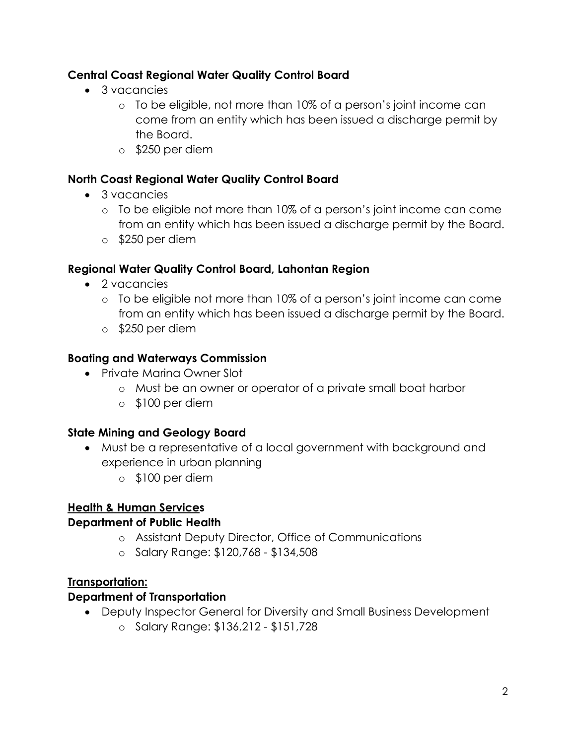# **Central Coast Regional Water Quality Control Board**

- 3 vacancies
	- o To be eligible, not more than 10% of a person's joint income can come from an entity which has been issued a discharge permit by the Board.
	- o \$250 per diem

# **North Coast Regional Water Quality Control Board**

- 3 vacancies
	- o To be eligible not more than 10% of a person's joint income can come from an entity which has been issued a discharge permit by the Board.
	- o \$250 per diem

# **Regional Water Quality Control Board, Lahontan Region**

- 2 vacancies
	- o To be eligible not more than 10% of a person's joint income can come from an entity which has been issued a discharge permit by the Board.
	- o \$250 per diem

# **Boating and Waterways Commission**

- Private Marina Owner Slot
	- o Must be an owner or operator of a private small boat harbor
	- o \$100 per diem

# **State Mining and Geology Board**

- Must be a representative of a local government with background and experience in urban planning
	- o \$100 per diem

# **Health & Human Services**

# **Department of Public Health**

- o Assistant Deputy Director, Office of Communications
- o Salary Range: \$120,768 \$134,508

# **Transportation:**

# **Department of Transportation**

- Deputy Inspector General for Diversity and Small Business Development
	- o Salary Range: \$136,212 \$151,728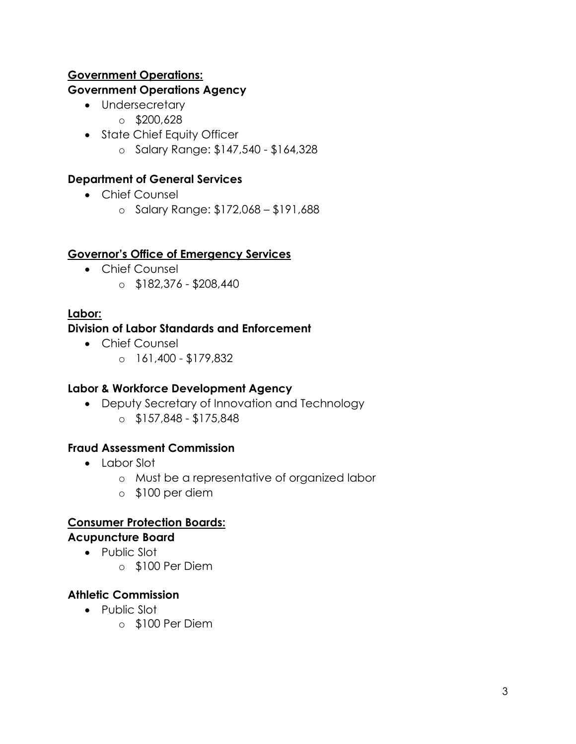# **Government Operations:**

## **Government Operations Agency**

- Undersecretary
	- $\circ$  \$200,628
- State Chief Equity Officer
	- o Salary Range: \$147,540 \$164,328

# **Department of General Services**

- Chief Counsel
	- o Salary Range: \$172,068 \$191,688

# **Governor's Office of Emergency Services**

- Chief Counsel
	- $\circ$  \$182,376 \$208,440

# **Labor:**

# **Division of Labor Standards and Enforcement**

- Chief Counsel
	- o 161,400 \$179,832

# **Labor & Workforce Development Agency**

- Deputy Secretary of Innovation and Technology
	- $\circ$  \$157,848 \$175,848

# **Fraud Assessment Commission**

- Labor Slot
	- o Must be a representative of organized labor
	- o \$100 per diem

# **Consumer Protection Boards:**

# **Acupuncture Board**

- Public Slot
	- o \$100 Per Diem

# **Athletic Commission**

- Public Slot
	- o \$100 Per Diem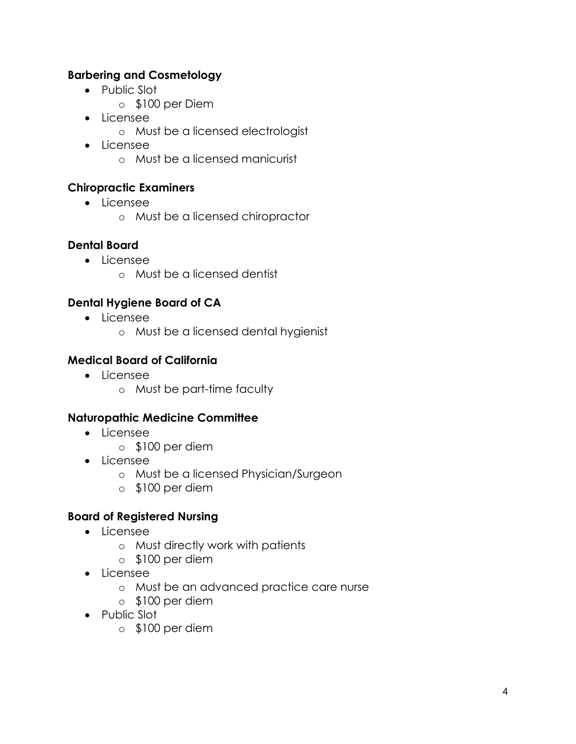## **Barbering and Cosmetology**

- Public Slot
	- o \$100 per Diem
- Licensee
	- o Must be a licensed electrologist
- Licensee
	- o Must be a licensed manicurist

#### **Chiropractic Examiners**

- Licensee
	- o Must be a licensed chiropractor

#### **Dental Board**

- Licensee
	- o Must be a licensed dentist

### **Dental Hygiene Board of CA**

- Licensee
	- o Must be a licensed dental hygienist

#### **Medical Board of California**

- Licensee
	- o Must be part-time faculty

#### **Naturopathic Medicine Committee**

- Licensee
	- o \$100 per diem
- Licensee
	- o Must be a licensed Physician/Surgeon
	- o \$100 per diem

#### **Board of Registered Nursing**

- Licensee
	- o Must directly work with patients
	- o \$100 per diem
- Licensee
	- o Must be an advanced practice care nurse
	- o \$100 per diem
- Public Slot
	- o \$100 per diem